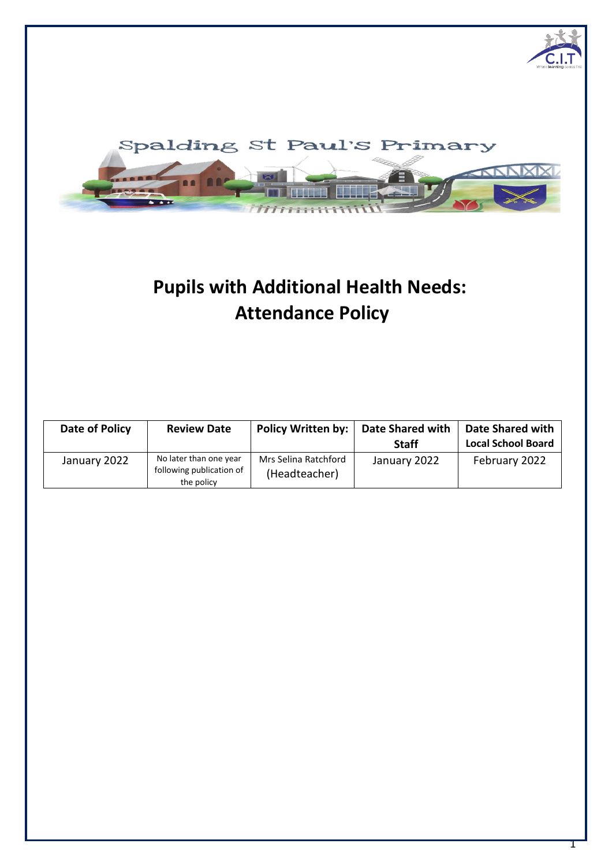

# **Pupils with Additional Health Needs: Attendance Policy**

| Date of Policy | <b>Review Date</b>                                               | <b>Policy Written by:</b>             | <b>Date Shared with</b><br><b>Staff</b> | Date Shared with<br><b>Local School Board</b> |
|----------------|------------------------------------------------------------------|---------------------------------------|-----------------------------------------|-----------------------------------------------|
| January 2022   | No later than one year<br>following publication of<br>the policy | Mrs Selina Ratchford<br>(Headteacher) | January 2022                            | February 2022                                 |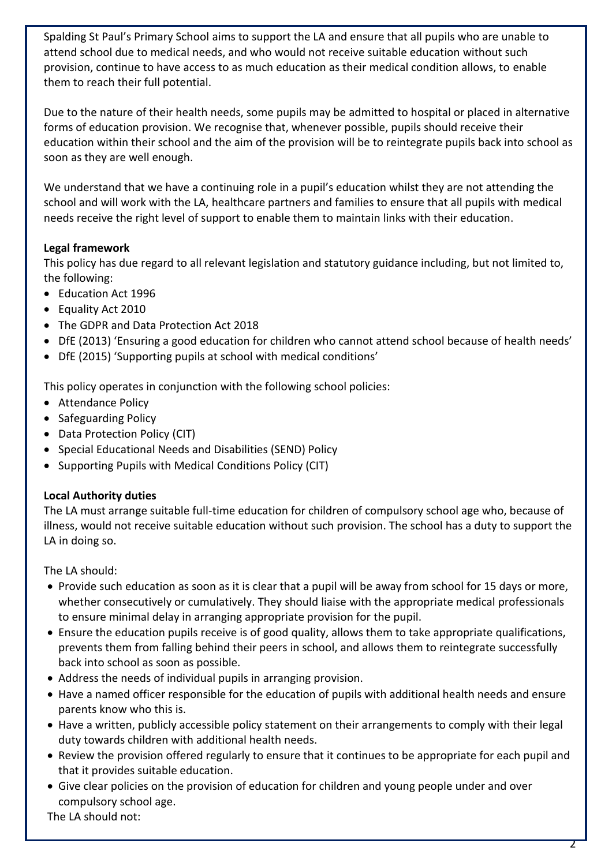Spalding St Paul's Primary School aims to support the LA and ensure that all pupils who are unable to attend school due to medical needs, and who would not receive suitable education without such provision, continue to have access to as much education as their medical condition allows, to enable them to reach their full potential.

Due to the nature of their health needs, some pupils may be admitted to hospital or placed in alternative forms of education provision. We recognise that, whenever possible, pupils should receive their education within their school and the aim of the provision will be to reintegrate pupils back into school as soon as they are well enough.

We understand that we have a continuing role in a pupil's education whilst they are not attending the school and will work with the LA, healthcare partners and families to ensure that all pupils with medical needs receive the right level of support to enable them to maintain links with their education.

## **Legal framework**

This policy has due regard to all relevant legislation and statutory guidance including, but not limited to, the following:

- Education Act 1996
- Equality Act 2010
- The GDPR and Data Protection Act 2018
- DfE (2013) 'Ensuring a good education for children who cannot attend school because of health needs'
- DfE (2015) 'Supporting pupils at school with medical conditions'

This policy operates in conjunction with the following school policies:

- Attendance Policy
- Safeguarding Policy
- Data Protection Policy (CIT)
- Special Educational Needs and Disabilities (SEND) Policy
- Supporting Pupils with Medical Conditions Policy (CIT)

### **Local Authority duties**

The LA must arrange suitable full-time education for children of compulsory school age who, because of illness, would not receive suitable education without such provision. The school has a duty to support the LA in doing so.

The LA should:

- Provide such education as soon as it is clear that a pupil will be away from school for 15 days or more, whether consecutively or cumulatively. They should liaise with the appropriate medical professionals to ensure minimal delay in arranging appropriate provision for the pupil.
- Ensure the education pupils receive is of good quality, allows them to take appropriate qualifications, prevents them from falling behind their peers in school, and allows them to reintegrate successfully back into school as soon as possible.
- Address the needs of individual pupils in arranging provision.
- Have a named officer responsible for the education of pupils with additional health needs and ensure parents know who this is.
- Have a written, publicly accessible policy statement on their arrangements to comply with their legal duty towards children with additional health needs.
- Review the provision offered regularly to ensure that it continues to be appropriate for each pupil and that it provides suitable education.
- Give clear policies on the provision of education for children and young people under and over compulsory school age.

The LA should not: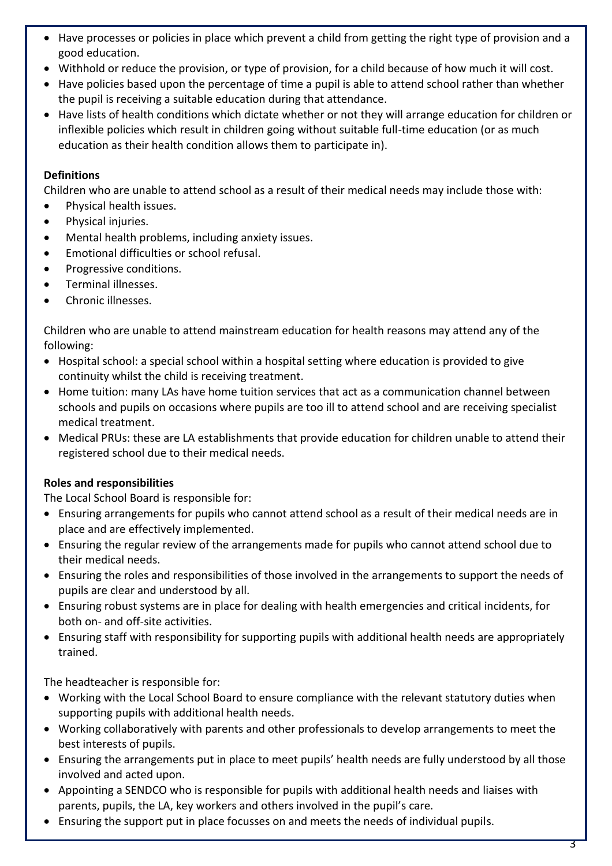- Have processes or policies in place which prevent a child from getting the right type of provision and a good education.
- Withhold or reduce the provision, or type of provision, for a child because of how much it will cost.
- Have policies based upon the percentage of time a pupil is able to attend school rather than whether the pupil is receiving a suitable education during that attendance.
- Have lists of health conditions which dictate whether or not they will arrange education for children or inflexible policies which result in children going without suitable full-time education (or as much education as their health condition allows them to participate in).

## **Definitions**

Children who are unable to attend school as a result of their medical needs may include those with:

- Physical health issues.
- Physical injuries.
- Mental health problems, including anxiety issues.
- Emotional difficulties or school refusal.
- Progressive conditions.
- Terminal illnesses.
- Chronic illnesses.

Children who are unable to attend mainstream education for health reasons may attend any of the following:

- Hospital school: a special school within a hospital setting where education is provided to give continuity whilst the child is receiving treatment.
- Home tuition: many LAs have home tuition services that act as a communication channel between schools and pupils on occasions where pupils are too ill to attend school and are receiving specialist medical treatment.
- Medical PRUs: these are LA establishments that provide education for children unable to attend their registered school due to their medical needs.

## **Roles and responsibilities**

The Local School Board is responsible for:

- Ensuring arrangements for pupils who cannot attend school as a result of their medical needs are in place and are effectively implemented.
- Ensuring the regular review of the arrangements made for pupils who cannot attend school due to their medical needs.
- Ensuring the roles and responsibilities of those involved in the arrangements to support the needs of pupils are clear and understood by all.
- Ensuring robust systems are in place for dealing with health emergencies and critical incidents, for both on- and off-site activities.
- Ensuring staff with responsibility for supporting pupils with additional health needs are appropriately trained.

The headteacher is responsible for:

- Working with the Local School Board to ensure compliance with the relevant statutory duties when supporting pupils with additional health needs.
- Working collaboratively with parents and other professionals to develop arrangements to meet the best interests of pupils.
- Ensuring the arrangements put in place to meet pupils' health needs are fully understood by all those involved and acted upon.
- Appointing a SENDCO who is responsible for pupils with additional health needs and liaises with parents, pupils, the LA, key workers and others involved in the pupil's care.
- Ensuring the support put in place focusses on and meets the needs of individual pupils.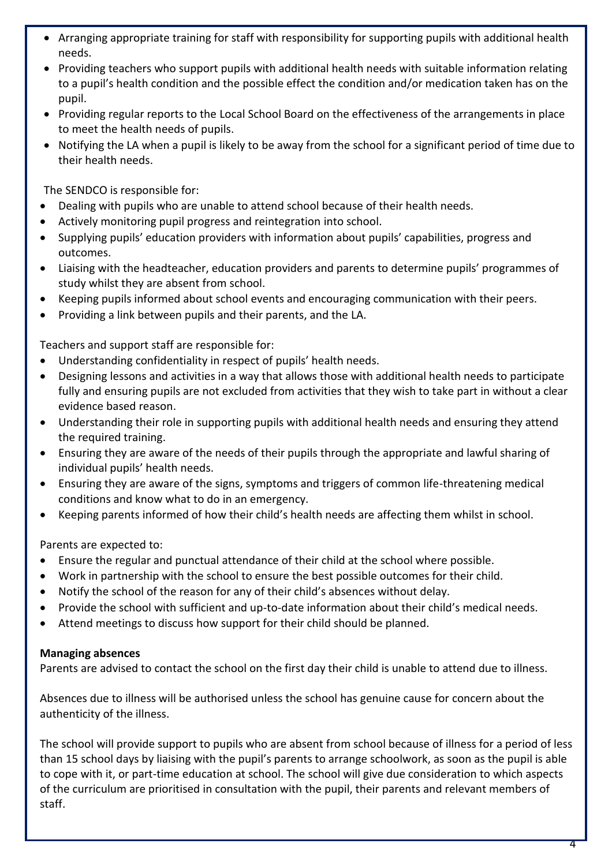- Arranging appropriate training for staff with responsibility for supporting pupils with additional health needs.
- Providing teachers who support pupils with additional health needs with suitable information relating to a pupil's health condition and the possible effect the condition and/or medication taken has on the pupil.
- Providing regular reports to the Local School Board on the effectiveness of the arrangements in place to meet the health needs of pupils.
- Notifying the LA when a pupil is likely to be away from the school for a significant period of time due to their health needs.

The SENDCO is responsible for:

- Dealing with pupils who are unable to attend school because of their health needs.
- Actively monitoring pupil progress and reintegration into school.
- Supplying pupils' education providers with information about pupils' capabilities, progress and outcomes.
- Liaising with the headteacher, education providers and parents to determine pupils' programmes of study whilst they are absent from school.
- Keeping pupils informed about school events and encouraging communication with their peers.
- Providing a link between pupils and their parents, and the LA.

Teachers and support staff are responsible for:

- Understanding confidentiality in respect of pupils' health needs.
- Designing lessons and activities in a way that allows those with additional health needs to participate fully and ensuring pupils are not excluded from activities that they wish to take part in without a clear evidence based reason.
- Understanding their role in supporting pupils with additional health needs and ensuring they attend the required training.
- Ensuring they are aware of the needs of their pupils through the appropriate and lawful sharing of individual pupils' health needs.
- Ensuring they are aware of the signs, symptoms and triggers of common life-threatening medical conditions and know what to do in an emergency.
- Keeping parents informed of how their child's health needs are affecting them whilst in school.

Parents are expected to:

- Ensure the regular and punctual attendance of their child at the school where possible.
- Work in partnership with the school to ensure the best possible outcomes for their child.
- Notify the school of the reason for any of their child's absences without delay.
- Provide the school with sufficient and up-to-date information about their child's medical needs.
- Attend meetings to discuss how support for their child should be planned.

### **Managing absences**

Parents are advised to contact the school on the first day their child is unable to attend due to illness.

Absences due to illness will be authorised unless the school has genuine cause for concern about the authenticity of the illness.

The school will provide support to pupils who are absent from school because of illness for a period of less than 15 school days by liaising with the pupil's parents to arrange schoolwork, as soon as the pupil is able to cope with it, or part-time education at school. The school will give due consideration to which aspects of the curriculum are prioritised in consultation with the pupil, their parents and relevant members of staff.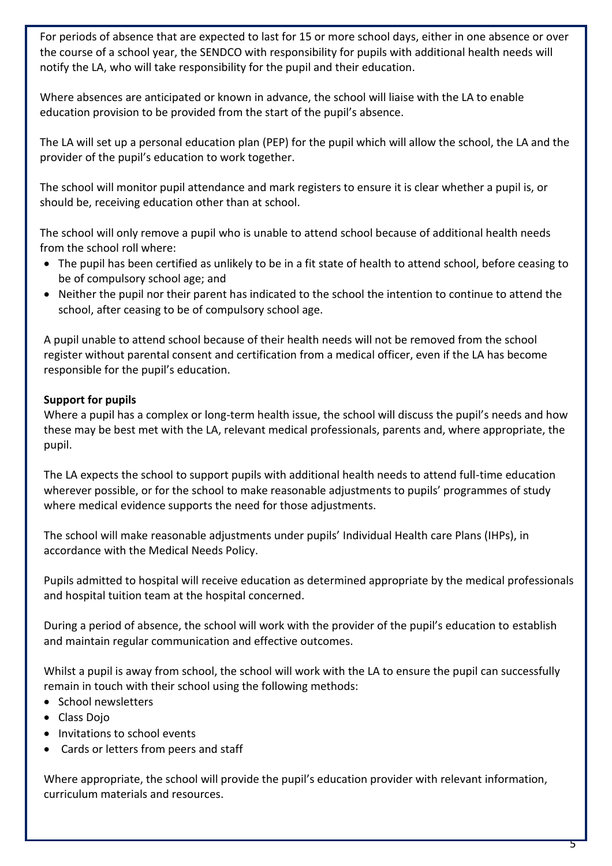For periods of absence that are expected to last for 15 or more school days, either in one absence or over the course of a school year, the SENDCO with responsibility for pupils with additional health needs will notify the LA, who will take responsibility for the pupil and their education.

Where absences are anticipated or known in advance, the school will liaise with the LA to enable education provision to be provided from the start of the pupil's absence.

The LA will set up a personal education plan (PEP) for the pupil which will allow the school, the LA and the provider of the pupil's education to work together.

The school will monitor pupil attendance and mark registers to ensure it is clear whether a pupil is, or should be, receiving education other than at school.

The school will only remove a pupil who is unable to attend school because of additional health needs from the school roll where:

- The pupil has been certified as unlikely to be in a fit state of health to attend school, before ceasing to be of compulsory school age; and
- Neither the pupil nor their parent has indicated to the school the intention to continue to attend the school, after ceasing to be of compulsory school age.

A pupil unable to attend school because of their health needs will not be removed from the school register without parental consent and certification from a medical officer, even if the LA has become responsible for the pupil's education.

### **Support for pupils**

Where a pupil has a complex or long-term health issue, the school will discuss the pupil's needs and how these may be best met with the LA, relevant medical professionals, parents and, where appropriate, the pupil.

The LA expects the school to support pupils with additional health needs to attend full-time education wherever possible, or for the school to make reasonable adjustments to pupils' programmes of study where medical evidence supports the need for those adjustments.

The school will make reasonable adjustments under pupils' Individual Health care Plans (IHPs), in accordance with the Medical Needs Policy.

Pupils admitted to hospital will receive education as determined appropriate by the medical professionals and hospital tuition team at the hospital concerned.

During a period of absence, the school will work with the provider of the pupil's education to establish and maintain regular communication and effective outcomes.

Whilst a pupil is away from school, the school will work with the LA to ensure the pupil can successfully remain in touch with their school using the following methods:

- School newsletters
- Class Dojo
- Invitations to school events
- Cards or letters from peers and staff

Where appropriate, the school will provide the pupil's education provider with relevant information, curriculum materials and resources.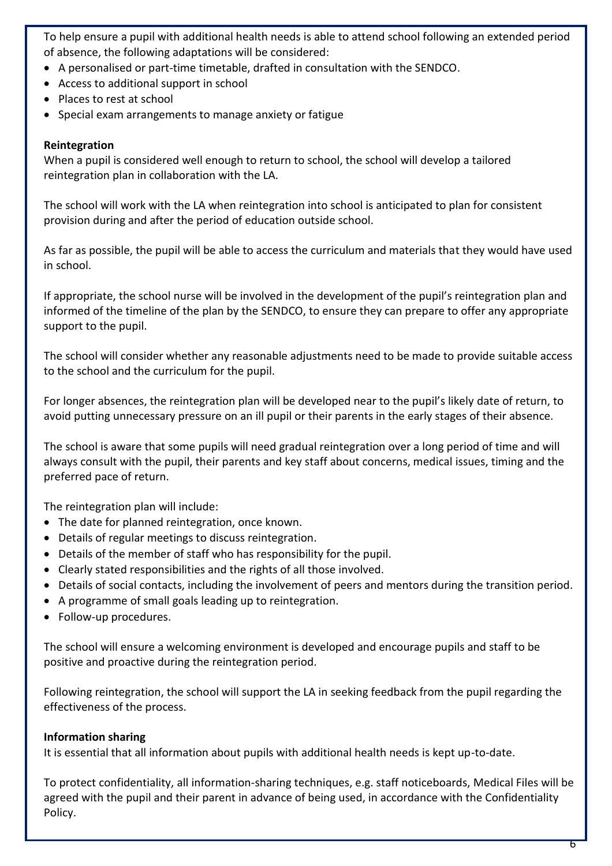To help ensure a pupil with additional health needs is able to attend school following an extended period of absence, the following adaptations will be considered:

- A personalised or part-time timetable, drafted in consultation with the SENDCO.
- Access to additional support in school
- Places to rest at school
- Special exam arrangements to manage anxiety or fatigue

#### **Reintegration**

When a pupil is considered well enough to return to school, the school will develop a tailored reintegration plan in collaboration with the LA.

The school will work with the LA when reintegration into school is anticipated to plan for consistent provision during and after the period of education outside school.

As far as possible, the pupil will be able to access the curriculum and materials that they would have used in school.

If appropriate, the school nurse will be involved in the development of the pupil's reintegration plan and informed of the timeline of the plan by the SENDCO, to ensure they can prepare to offer any appropriate support to the pupil.

The school will consider whether any reasonable adjustments need to be made to provide suitable access to the school and the curriculum for the pupil.

For longer absences, the reintegration plan will be developed near to the pupil's likely date of return, to avoid putting unnecessary pressure on an ill pupil or their parents in the early stages of their absence.

The school is aware that some pupils will need gradual reintegration over a long period of time and will always consult with the pupil, their parents and key staff about concerns, medical issues, timing and the preferred pace of return.

The reintegration plan will include:

- The date for planned reintegration, once known.
- Details of regular meetings to discuss reintegration.
- Details of the member of staff who has responsibility for the pupil.
- Clearly stated responsibilities and the rights of all those involved.
- Details of social contacts, including the involvement of peers and mentors during the transition period.
- A programme of small goals leading up to reintegration.
- Follow-up procedures.

The school will ensure a welcoming environment is developed and encourage pupils and staff to be positive and proactive during the reintegration period.

Following reintegration, the school will support the LA in seeking feedback from the pupil regarding the effectiveness of the process.

### **Information sharing**

It is essential that all information about pupils with additional health needs is kept up-to-date.

To protect confidentiality, all information-sharing techniques, e.g. staff noticeboards, Medical Files will be agreed with the pupil and their parent in advance of being used, in accordance with the Confidentiality Policy.